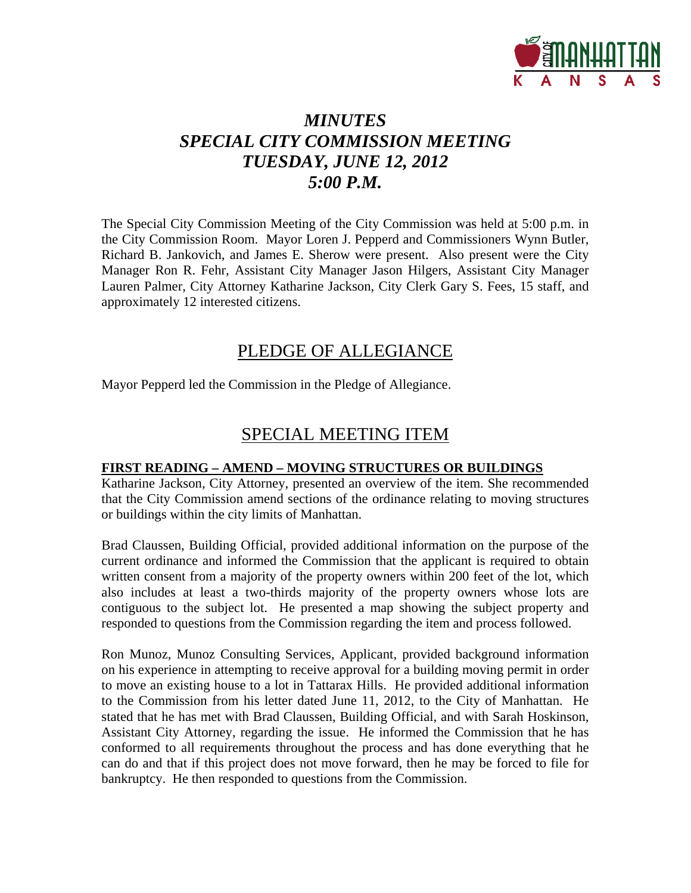

## *MINUTES SPECIAL CITY COMMISSION MEETING TUESDAY, JUNE 12, 2012 5:00 P.M.*

The Special City Commission Meeting of the City Commission was held at 5:00 p.m. in the City Commission Room. Mayor Loren J. Pepperd and Commissioners Wynn Butler, Richard B. Jankovich, and James E. Sherow were present. Also present were the City Manager Ron R. Fehr, Assistant City Manager Jason Hilgers, Assistant City Manager Lauren Palmer, City Attorney Katharine Jackson, City Clerk Gary S. Fees, 15 staff, and approximately 12 interested citizens.

#### PLEDGE OF ALLEGIANCE

Mayor Pepperd led the Commission in the Pledge of Allegiance.

#### SPECIAL MEETING ITEM

#### **FIRST READING – AMEND – MOVING STRUCTURES OR BUILDINGS**

Katharine Jackson, City Attorney, presented an overview of the item. She recommended that the City Commission amend sections of the ordinance relating to moving structures or buildings within the city limits of Manhattan.

Brad Claussen, Building Official, provided additional information on the purpose of the current ordinance and informed the Commission that the applicant is required to obtain written consent from a majority of the property owners within 200 feet of the lot, which also includes at least a two-thirds majority of the property owners whose lots are contiguous to the subject lot. He presented a map showing the subject property and responded to questions from the Commission regarding the item and process followed.

Ron Munoz, Munoz Consulting Services, Applicant, provided background information on his experience in attempting to receive approval for a building moving permit in order to move an existing house to a lot in Tattarax Hills. He provided additional information to the Commission from his letter dated June 11, 2012, to the City of Manhattan. He stated that he has met with Brad Claussen, Building Official, and with Sarah Hoskinson, Assistant City Attorney, regarding the issue. He informed the Commission that he has conformed to all requirements throughout the process and has done everything that he can do and that if this project does not move forward, then he may be forced to file for bankruptcy. He then responded to questions from the Commission.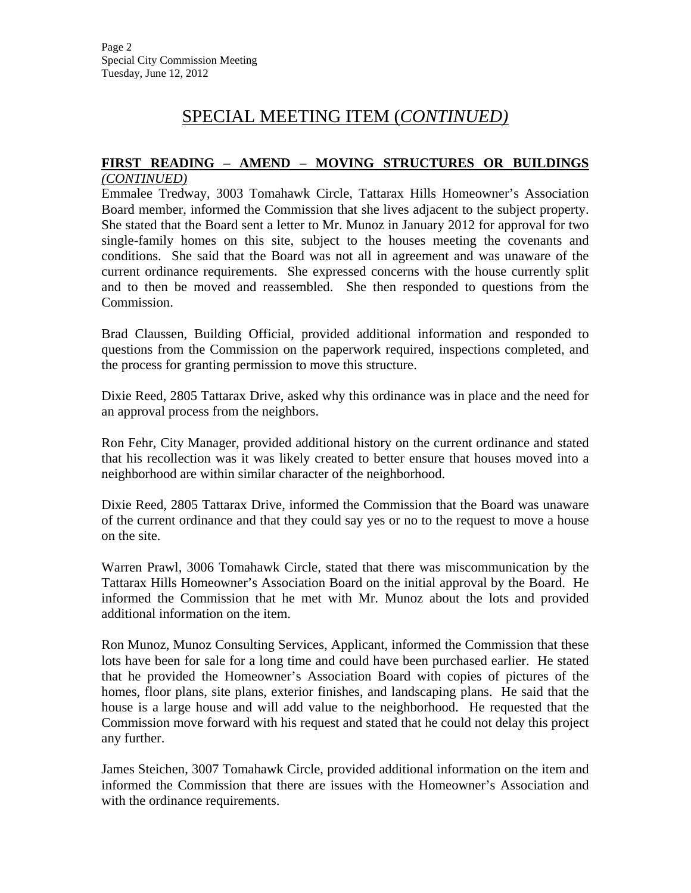### SPECIAL MEETING ITEM (*CONTINUED)*

## **FIRST READING – AMEND – MOVING STRUCTURES OR BUILDINGS**

*(CONTINUED)*

Emmalee Tredway, 3003 Tomahawk Circle, Tattarax Hills Homeowner's Association Board member, informed the Commission that she lives adjacent to the subject property. She stated that the Board sent a letter to Mr. Munoz in January 2012 for approval for two single-family homes on this site, subject to the houses meeting the covenants and conditions. She said that the Board was not all in agreement and was unaware of the current ordinance requirements. She expressed concerns with the house currently split and to then be moved and reassembled. She then responded to questions from the Commission.

Brad Claussen, Building Official, provided additional information and responded to questions from the Commission on the paperwork required, inspections completed, and the process for granting permission to move this structure.

Dixie Reed, 2805 Tattarax Drive, asked why this ordinance was in place and the need for an approval process from the neighbors.

Ron Fehr, City Manager, provided additional history on the current ordinance and stated that his recollection was it was likely created to better ensure that houses moved into a neighborhood are within similar character of the neighborhood.

Dixie Reed, 2805 Tattarax Drive, informed the Commission that the Board was unaware of the current ordinance and that they could say yes or no to the request to move a house on the site.

Warren Prawl, 3006 Tomahawk Circle, stated that there was miscommunication by the Tattarax Hills Homeowner's Association Board on the initial approval by the Board. He informed the Commission that he met with Mr. Munoz about the lots and provided additional information on the item.

Ron Munoz, Munoz Consulting Services, Applicant, informed the Commission that these lots have been for sale for a long time and could have been purchased earlier. He stated that he provided the Homeowner's Association Board with copies of pictures of the homes, floor plans, site plans, exterior finishes, and landscaping plans. He said that the house is a large house and will add value to the neighborhood. He requested that the Commission move forward with his request and stated that he could not delay this project any further.

James Steichen, 3007 Tomahawk Circle, provided additional information on the item and informed the Commission that there are issues with the Homeowner's Association and with the ordinance requirements.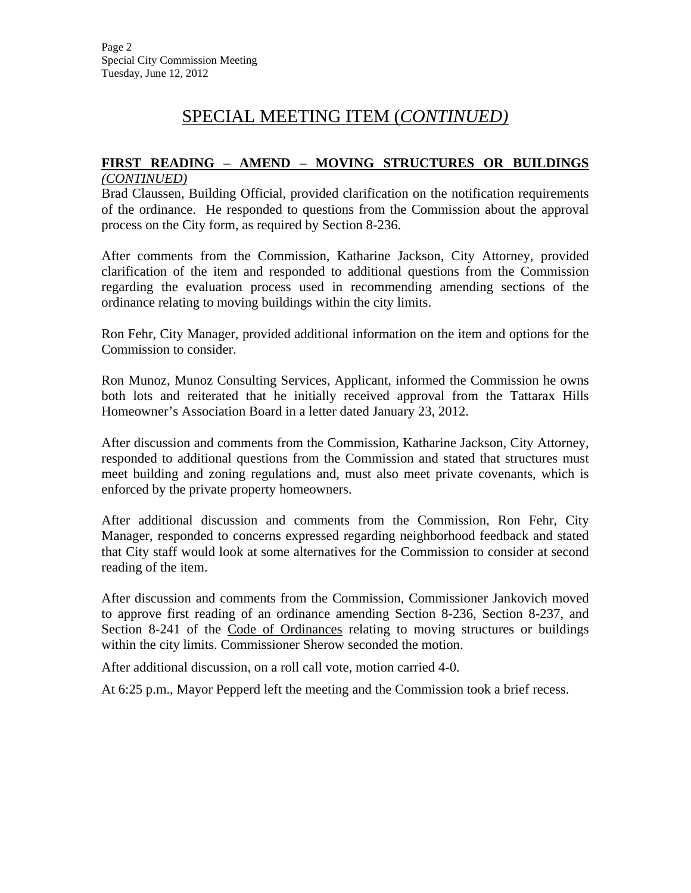### SPECIAL MEETING ITEM (*CONTINUED)*

# **FIRST READING – AMEND – MOVING STRUCTURES OR BUILDINGS**

*(CONTINUED)*

Brad Claussen, Building Official, provided clarification on the notification requirements of the ordinance. He responded to questions from the Commission about the approval process on the City form, as required by Section 8-236.

After comments from the Commission, Katharine Jackson, City Attorney, provided clarification of the item and responded to additional questions from the Commission regarding the evaluation process used in recommending amending sections of the ordinance relating to moving buildings within the city limits.

Ron Fehr, City Manager, provided additional information on the item and options for the Commission to consider.

Ron Munoz, Munoz Consulting Services, Applicant, informed the Commission he owns both lots and reiterated that he initially received approval from the Tattarax Hills Homeowner's Association Board in a letter dated January 23, 2012.

After discussion and comments from the Commission, Katharine Jackson, City Attorney, responded to additional questions from the Commission and stated that structures must meet building and zoning regulations and, must also meet private covenants, which is enforced by the private property homeowners.

After additional discussion and comments from the Commission, Ron Fehr, City Manager, responded to concerns expressed regarding neighborhood feedback and stated that City staff would look at some alternatives for the Commission to consider at second reading of the item.

After discussion and comments from the Commission, Commissioner Jankovich moved to approve first reading of an ordinance amending Section 8-236, Section 8-237, and Section 8-241 of the Code of Ordinances relating to moving structures or buildings within the city limits. Commissioner Sherow seconded the motion.

After additional discussion, on a roll call vote, motion carried 4-0.

At 6:25 p.m., Mayor Pepperd left the meeting and the Commission took a brief recess.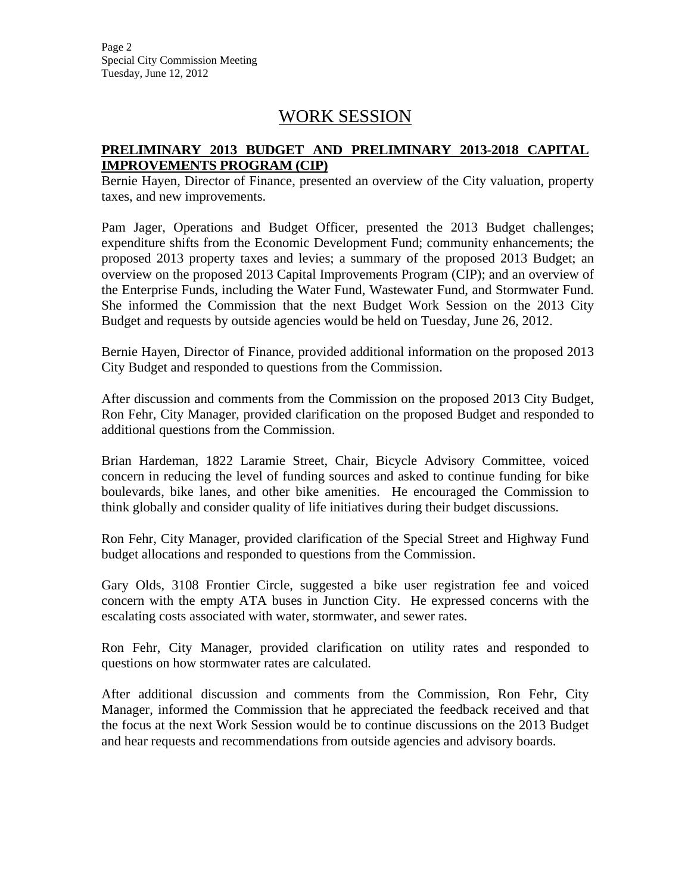Page 2 Special City Commission Meeting Tuesday, June 12, 2012

### WORK SESSION

#### **PRELIMINARY 2013 BUDGET AND PRELIMINARY 2013-2018 CAPITAL IMPROVEMENTS PROGRAM (CIP)**

Bernie Hayen, Director of Finance, presented an overview of the City valuation, property taxes, and new improvements.

Pam Jager, Operations and Budget Officer, presented the 2013 Budget challenges; expenditure shifts from the Economic Development Fund; community enhancements; the proposed 2013 property taxes and levies; a summary of the proposed 2013 Budget; an overview on the proposed 2013 Capital Improvements Program (CIP); and an overview of the Enterprise Funds, including the Water Fund, Wastewater Fund, and Stormwater Fund. She informed the Commission that the next Budget Work Session on the 2013 City Budget and requests by outside agencies would be held on Tuesday, June 26, 2012.

Bernie Hayen, Director of Finance, provided additional information on the proposed 2013 City Budget and responded to questions from the Commission.

After discussion and comments from the Commission on the proposed 2013 City Budget, Ron Fehr, City Manager, provided clarification on the proposed Budget and responded to additional questions from the Commission.

Brian Hardeman, 1822 Laramie Street, Chair, Bicycle Advisory Committee, voiced concern in reducing the level of funding sources and asked to continue funding for bike boulevards, bike lanes, and other bike amenities. He encouraged the Commission to think globally and consider quality of life initiatives during their budget discussions.

Ron Fehr, City Manager, provided clarification of the Special Street and Highway Fund budget allocations and responded to questions from the Commission.

Gary Olds, 3108 Frontier Circle, suggested a bike user registration fee and voiced concern with the empty ATA buses in Junction City. He expressed concerns with the escalating costs associated with water, stormwater, and sewer rates.

Ron Fehr, City Manager, provided clarification on utility rates and responded to questions on how stormwater rates are calculated.

After additional discussion and comments from the Commission, Ron Fehr, City Manager, informed the Commission that he appreciated the feedback received and that the focus at the next Work Session would be to continue discussions on the 2013 Budget and hear requests and recommendations from outside agencies and advisory boards.